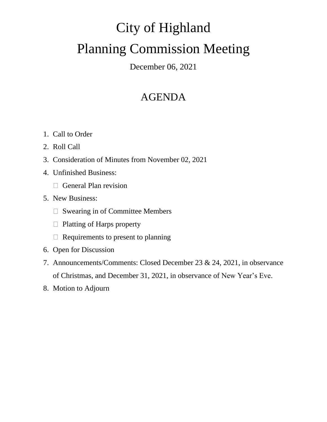# City of Highland Planning Commission Meeting

December 06, 2021

## AGENDA

- 1. Call to Order
- 2. Roll Call
- 3. Consideration of Minutes from November 02, 2021
- 4. Unfinished Business:
	- $\Box$  General Plan revision
- 5. New Business:
	- □ Swearing in of Committee Members
	- $\Box$  Platting of Harps property
	- $\Box$  Requirements to present to planning
- 6. Open for Discussion
- 7. Announcements/Comments: Closed December 23 & 24, 2021, in observance of Christmas, and December 31, 2021, in observance of New Year's Eve.
- 8. Motion to Adjourn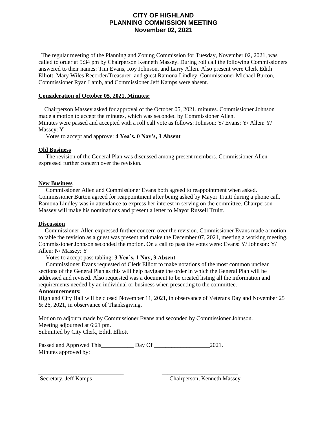### **CITY OF HIGHLAND PLANNING COMMISSION MEETING November 02, 2021**

 The regular meeting of the Planning and Zoning Commission for Tuesday, November 02, 2021, was called to order at 5:34 pm by Chairperson Kenneth Massey. During roll call the following Commissioners answered to their names: Tim Evans, Roy Johnson, and Larry Allen. Also present were Clerk Edith Elliott, Mary Wiles Recorder/Treasurer, and guest Ramona Lindley. Commissioner Michael Burton, Commissioner Ryan Lamb, and Commissioner Jeff Kamps were absent.

#### **Consideration of October 05, 2021, Minutes:**

 Chairperson Massey asked for approval of the October 05, 2021, minutes. Commissioner Johnson made a motion to accept the minutes, which was seconded by Commissioner Allen. Minutes were passed and accepted with a roll call vote as follows: Johnson: Y/ Evans: Y/ Allen: Y/ Massey: Y

Votes to accept and approve: **4 Yea's, 0 Nay's, 3 Absent**

#### **Old Business**

 The revision of the General Plan was discussed among present members. Commissioner Allen expressed further concern over the revision.

#### **New Business**

 Commissioner Allen and Commissioner Evans both agreed to reappointment when asked. Commissioner Burton agreed for reappointment after being asked by Mayor Truitt during a phone call. Ramona Lindley was in attendance to express her interest in serving on the committee. Chairperson Massey will make his nominations and present a letter to Mayor Russell Truitt.

#### **Discussion**

 Commissioner Allen expressed further concern over the revision. Commissioner Evans made a motion to table the revision as a guest was present and make the December 07, 2021, meeting a working meeting. Commissioner Johnson seconded the motion. On a call to pass the votes were: Evans: Y/ Johnson: Y/ Allen: N/ Massey: Y

Votes to accept pass tabling: **3 Yea's, 1 Nay, 3 Absent**

 Commissioner Evans requested of Clerk Elliott to make notations of the most common unclear sections of the General Plan as this will help navigate the order in which the General Plan will be addressed and revised. Also requested was a document to be created listing all the information and requirements needed by an individual or business when presenting to the committee.

#### **Announcements:**

Highland City Hall will be closed November 11, 2021, in observance of Veterans Day and November 25 & 26, 2021, in observance of Thanksgiving.

Motion to adjourn made by Commissioner Evans and seconded by Commissioner Johnson. Meeting adjourned at 6:21 pm. Submitted by City Clerk, Edith Elliott

| Passed and Approved This | Day Of | 2021. |
|--------------------------|--------|-------|
| Minutes approved by:     |        |       |

\_\_\_\_\_\_\_\_\_\_\_\_\_\_\_\_\_\_\_\_\_\_\_\_\_\_\_\_\_ \_\_\_\_\_\_\_\_\_\_\_\_\_\_\_\_\_\_\_\_\_\_\_\_\_\_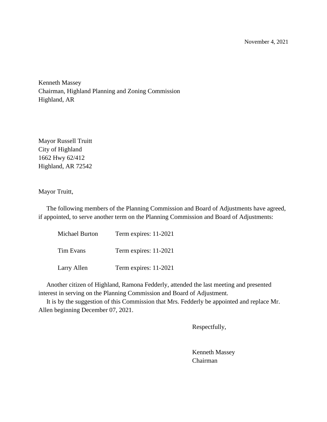November 4, 2021

Kenneth Massey Chairman, Highland Planning and Zoning Commission Highland, AR

Mayor Russell Truitt City of Highland 1662 Hwy 62/412 Highland, AR 72542

Mayor Truitt,

 The following members of the Planning Commission and Board of Adjustments have agreed, if appointed, to serve another term on the Planning Commission and Board of Adjustments:

| Michael Burton | Term expires: 11-2021 |
|----------------|-----------------------|
| Tim Evans      | Term expires: 11-2021 |
| Larry Allen    | Term expires: 11-2021 |

 Another citizen of Highland, Ramona Fedderly, attended the last meeting and presented interest in serving on the Planning Commission and Board of Adjustment.

 It is by the suggestion of this Commission that Mrs. Fedderly be appointed and replace Mr. Allen beginning December 07, 2021.

Respectfully,

Kenneth Massey Chairman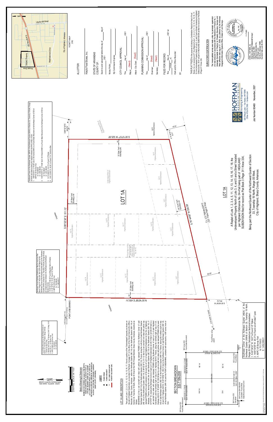